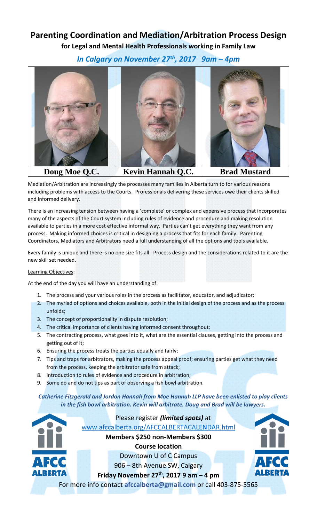## **Parenting Coordination and Mediation/Arbitration Process Design for Legal and Mental Health Professionals working in Family Law**

*In Calgary on November 27th, 2017 9am – 4pm*



Mediation/Arbitration are increasingly the processes many families in Alberta turn to for various reasons including problems with access to the Courts. Professionals delivering these services owe their clients skilled and informed delivery.

There is an increasing tension between having a 'complete' or complex and expensive process that incorporates many of the aspects of the Court system including rules of evidence and procedure and making resolution available to parties in a more cost effective informal way. Parties can't get everything they want from any process. Making informed choices is critical in designing a process that fits for each family. Parenting Coordinators, Mediators and Arbitrators need a full understanding of all the options and tools available.

Every family is unique and there is no one size fits all. Process design and the considerations related to it are the new skill set needed.

## Learning Objectives:

At the end of the day you will have an understanding of:

- 1. The process and your various roles in the process as facilitator, educator, and adjudicator;
- 2. The myriad of options and choices available, both in the initial design of the process and as the process unfolds;
- 3. The concept of proportionality in dispute resolution;
- 4. The critical importance of clients having informed consent throughout;
- 5. The contracting process, what goes into it, what are the essential clauses, getting into the process and getting out of it;
- 6. Ensuring the process treats the parties equally and fairly;
- 7. Tips and traps for arbitrators, making the process appeal proof; ensuring parties get what they need from the process, keeping the arbitrator safe from attack;
- 8. Introduction to rules of evidence and procedure in arbitration;
- 9. Some do and do not tips as part of observing a fish bowl arbitration.

## *Catherine Fitzgerald and Jordon Hannah from Moe Hannah LLP have been enlisted to play clients in the fish bowl arbitration. Kevin will arbitrate. Doug and Brad will be lawyers.*